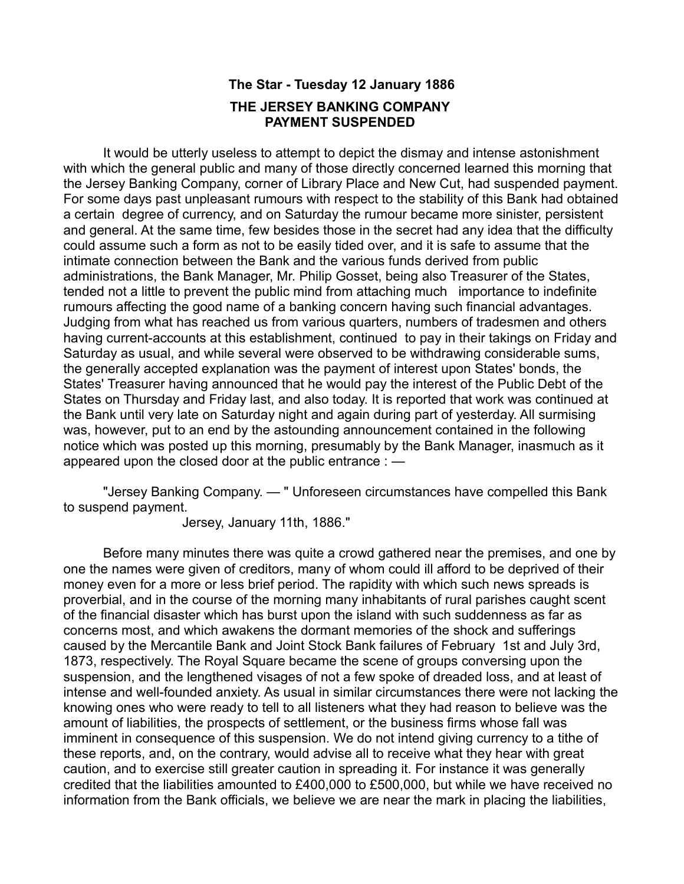## **The Star - Tuesday 12 January 1886 THE JERSEY BANKING COMPANY PAYMENT SUSPENDED**

It would be utterly useless to attempt to depict the dismay and intense astonishment with which the general public and many of those directly concerned learned this morning that the Jersey Banking Company, corner of Library Place and New Cut, had suspended payment. For some days past unpleasant rumours with respect to the stability of this Bank had obtained a certain degree of currency, and on Saturday the rumour became more sinister, persistent and general. At the same time, few besides those in the secret had any idea that the difficulty could assume such a form as not to be easily tided over, and it is safe to assume that the intimate connection between the Bank and the various funds derived from public administrations, the Bank Manager, Mr. Philip Gosset, being also Treasurer of the States, tended not a little to prevent the public mind from attaching much importance to indefinite rumours affecting the good name of a banking concern having such financial advantages. Judging from what has reached us from various quarters, numbers of tradesmen and others having current-accounts at this establishment, continued to pay in their takings on Friday and Saturday as usual, and while several were observed to be withdrawing considerable sums, the generally accepted explanation was the payment of interest upon States' bonds, the States' Treasurer having announced that he would pay the interest of the Public Debt of the States on Thursday and Friday last, and also today. It is reported that work was continued at the Bank until very late on Saturday night and again during part of yesterday. All surmising was, however, put to an end by the astounding announcement contained in the following notice which was posted up this morning, presumably by the Bank Manager, inasmuch as it appeared upon the closed door at the public entrance : —

"Jersey Banking Company. — " Unforeseen circumstances have compelled this Bank to suspend payment.

Jersey, January 11th, 1886."

Before many minutes there was quite a crowd gathered near the premises, and one by one the names were given of creditors, many of whom could ill afford to be deprived of their money even for a more or less brief period. The rapidity with which such news spreads is proverbial, and in the course of the morning many inhabitants of rural parishes caught scent of the financial disaster which has burst upon the island with such suddenness as far as concerns most, and which awakens the dormant memories of the shock and sufferings caused by the Mercantile Bank and Joint Stock Bank failures of February 1st and July 3rd, 1873, respectively. The Royal Square became the scene of groups conversing upon the suspension, and the lengthened visages of not a few spoke of dreaded loss, and at least of intense and well-founded anxiety. As usual in similar circumstances there were not lacking the knowing ones who were ready to tell to all listeners what they had reason to believe was the amount of liabilities, the prospects of settlement, or the business firms whose fall was imminent in consequence of this suspension. We do not intend giving currency to a tithe of these reports, and, on the contrary, would advise all to receive what they hear with great caution, and to exercise still greater caution in spreading it. For instance it was generally credited that the liabilities amounted to £400,000 to £500,000, but while we have received no information from the Bank officials, we believe we are near the mark in placing the liabilities,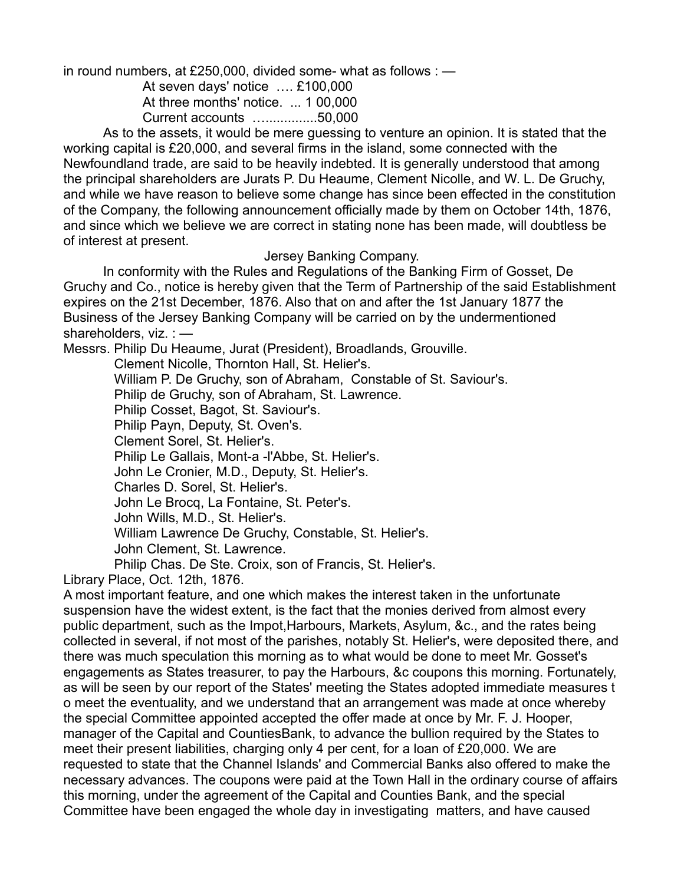in round numbers, at £250,000, divided some- what as follows : —

At seven days' notice …. £100,000

At three months' notice. ... 1 00,000 Current accounts …..............50,000

As to the assets, it would be mere guessing to venture an opinion. It is stated that the working capital is £20,000, and several firms in the island, some connected with the Newfoundland trade, are said to be heavily indebted. It is generally understood that among the principal shareholders are Jurats P. Du Heaume, Clement Nicolle, and W. L. De Gruchy, and while we have reason to believe some change has since been effected in the constitution of the Company, the following announcement officially made by them on October 14th, 1876, and since which we believe we are correct in stating none has been made, will doubtless be of interest at present.

#### Jersey Banking Company.

In conformity with the Rules and Regulations of the Banking Firm of Gosset, De Gruchy and Co., notice is hereby given that the Term of Partnership of the said Establishment expires on the 21st December, 1876. Also that on and after the 1st January 1877 the Business of the Jersey Banking Company will be carried on by the undermentioned shareholders, viz. : -

Messrs. Philip Du Heaume, Jurat (President), Broadlands, Grouville.

 Clement Nicolle, Thornton Hall, St. Helier's. William P. De Gruchy, son of Abraham, Constable of St. Saviour's. Philip de Gruchy, son of Abraham, St. Lawrence. Philip Cosset, Bagot, St. Saviour's. Philip Payn, Deputy, St. Oven's. Clement Sorel, St. Helier's. Philip Le Gallais, Mont-a -l'Abbe, St. Helier's. John Le Cronier, M.D., Deputy, St. Helier's. Charles D. Sorel, St. Helier's. John Le Brocq, La Fontaine, St. Peter's. John Wills, M.D., St. Helier's. William Lawrence De Gruchy, Constable, St. Helier's. John Clement, St. Lawrence. Philip Chas. De Ste. Croix, son of Francis, St. Helier's.

Library Place, Oct. 12th, 1876.

A most important feature, and one which makes the interest taken in the unfortunate suspension have the widest extent, is the fact that the monies derived from almost every public department, such as the Impot,Harbours, Markets, Asylum, &c., and the rates being collected in several, if not most of the parishes, notably St. Helier's, were deposited there, and there was much speculation this morning as to what would be done to meet Mr. Gosset's engagements as States treasurer, to pay the Harbours, &c coupons this morning. Fortunately, as will be seen by our report of the States' meeting the States adopted immediate measures t o meet the eventuality, and we understand that an arrangement was made at once whereby the special Committee appointed accepted the offer made at once by Mr. F. J. Hooper, manager of the Capital and CountiesBank, to advance the bullion required by the States to meet their present liabilities, charging only 4 per cent, for a loan of £20,000. We are requested to state that the Channel Islands' and Commercial Banks also offered to make the necessary advances. The coupons were paid at the Town Hall in the ordinary course of affairs this morning, under the agreement of the Capital and Counties Bank, and the special Committee have been engaged the whole day in investigating matters, and have caused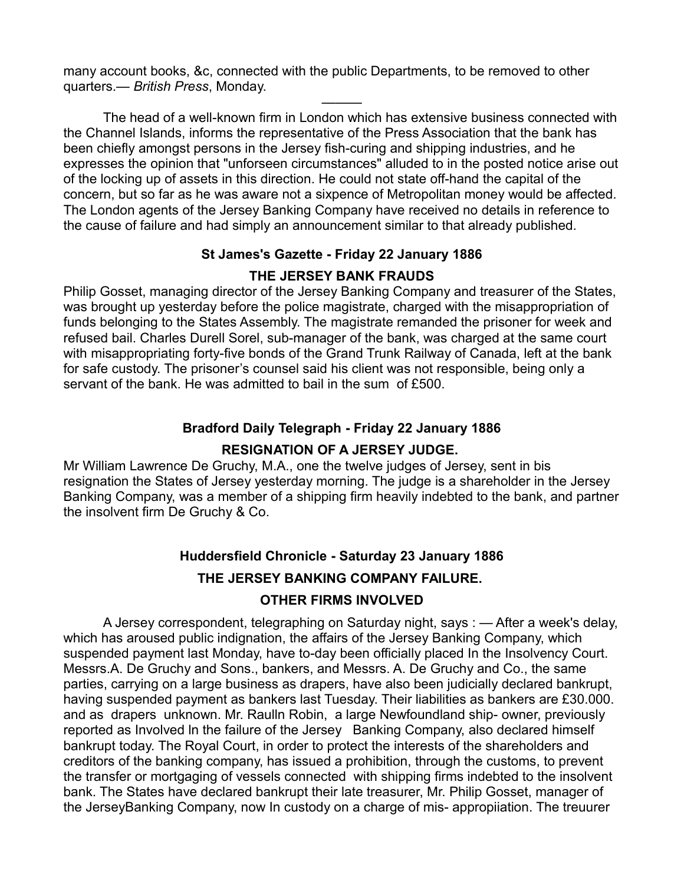many account books, &c, connected with the public Departments, to be removed to other quarters.— *British Press*, Monday.

The head of a well-known firm in London which has extensive business connected with the Channel Islands, informs the representative of the Press Association that the bank has been chiefly amongst persons in the Jersey fish-curing and shipping industries, and he expresses the opinion that "unforseen circumstances" alluded to in the posted notice arise out of the locking up of assets in this direction. He could not state off-hand the capital of the concern, but so far as he was aware not a sixpence of Metropolitan money would be affected. The London agents of the Jersey Banking Company have received no details in reference to the cause of failure and had simply an announcement similar to that already published.

———

#### **St James's Gazette - Friday 22 January 1886**

#### **THE JERSEY BANK FRAUDS**

Philip Gosset, managing director of the Jersey Banking Company and treasurer of the States, was brought up yesterday before the police magistrate, charged with the misappropriation of funds belonging to the States Assembly. The magistrate remanded the prisoner for week and refused bail. Charles Durell Sorel, sub-manager of the bank, was charged at the same court with misappropriating forty-five bonds of the Grand Trunk Railway of Canada, left at the bank for safe custody. The prisoner's counsel said his client was not responsible, being only a servant of the bank. He was admitted to bail in the sum of £500.

## **Bradford Daily Telegraph - Friday 22 January 1886 RESIGNATION OF A JERSEY JUDGE.**

Mr William Lawrence De Gruchy, M.A., one the twelve judges of Jersey, sent in bis resignation the States of Jersey yesterday morning. The judge is a shareholder in the Jersey Banking Company, was a member of a shipping firm heavily indebted to the bank, and partner the insolvent firm De Gruchy & Co.

# **Huddersfield Chronicle - Saturday 23 January 1886 THE JERSEY BANKING COMPANY FAILURE.**

#### **OTHER FIRMS INVOLVED**

A Jersey correspondent, telegraphing on Saturday night, says : — After a week's delay, which has aroused public indignation, the affairs of the Jersey Banking Company, which suspended payment last Monday, have to-day been officially placed In the Insolvency Court. Messrs.A. De Gruchy and Sons., bankers, and Messrs. A. De Gruchy and Co., the same parties, carrying on a large business as drapers, have also been judicially declared bankrupt, having suspended payment as bankers last Tuesday. Their liabilities as bankers are £30.000. and as drapers unknown. Mr. Raulln Robin, a large Newfoundland ship- owner, previously reported as Involved ln the failure of the Jersey Banking Company, also declared himself bankrupt today. The Royal Court, in order to protect the interests of the shareholders and creditors of the banking company, has issued a prohibition, through the customs, to prevent the transfer or mortgaging of vessels connected with shipping firms indebted to the insolvent bank. The States have declared bankrupt their late treasurer, Mr. Philip Gosset, manager of the JerseyBanking Company, now In custody on a charge of mis- appropiiation. The treuurer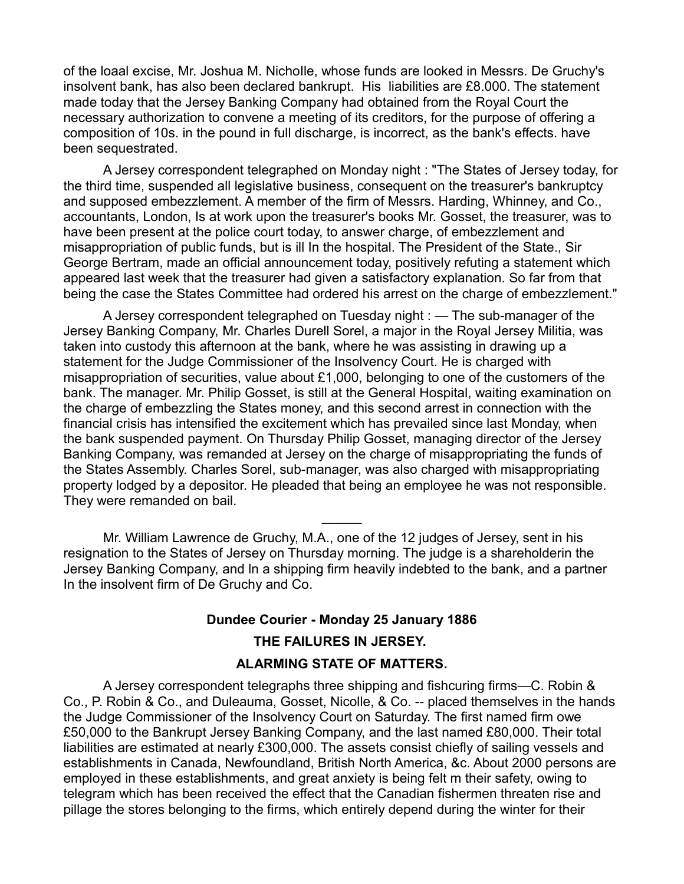of the loaal excise, Mr. Joshua M. NichoIle, whose funds are looked in Messrs. De Gruchy's insolvent bank, has also been declared bankrupt. His liabilities are £8.000. The statement made today that the Jersey Banking Company had obtained from the Royal Court the necessary authorization to convene a meeting of its creditors, for the purpose of offering a composition of 10s. in the pound in full discharge, is incorrect, as the bank's effects. have been sequestrated.

A Jersey correspondent telegraphed on Monday night : "The States of Jersey today, for the third time, suspended all legislative business, consequent on the treasurer's bankruptcy and supposed embezzlement. A member of the firm of Messrs. Harding, Whinney, and Co., accountants, London, Is at work upon the treasurer's books Mr. Gosset, the treasurer, was to have been present at the police court today, to answer charge, of embezzlement and misappropriation of public funds, but is ill In the hospital. The President of the State., Sir George Bertram, made an official announcement today, positively refuting a statement which appeared last week that the treasurer had given a satisfactory explanation. So far from that being the case the States Committee had ordered his arrest on the charge of embezzlement."

A Jersey correspondent telegraphed on Tuesday night : — The sub-manager of the Jersey Banking Company, Mr. Charles Durell Sorel, a major in the Royal Jersey Militia, was taken into custody this afternoon at the bank, where he was assisting in drawing up a statement for the Judge Commissioner of the Insolvency Court. He is charged with misappropriation of securities, value about £1,000, belonging to one of the customers of the bank. The manager. Mr. Philip Gosset, is still at the General Hospital, waiting examination on the charge of embezzling the States money, and this second arrest in connection with the financial crisis has intensified the excitement which has prevailed since last Monday, when the bank suspended payment. On Thursday Philip Gosset, managing director of the Jersey Banking Company, was remanded at Jersey on the charge of misappropriating the funds of the States Assembly. Charles Sorel, sub-manager, was also charged with misappropriating property lodged by a depositor. He pleaded that being an employee he was not responsible. They were remanded on bail.

Mr. William Lawrence de Gruchy, M.A., one of the 12 judges of Jersey, sent in his resignation to the States of Jersey on Thursday morning. The judge is a shareholderin the Jersey Banking Company, and ln a shipping firm heavily indebted to the bank, and a partner In the insolvent firm of De Gruchy and Co.

———

#### **Dundee Courier - Monday 25 January 1886**

#### **THE FAILURES IN JERSEY.**

#### **ALARMING STATE OF MATTERS.**

A Jersey correspondent telegraphs three shipping and fishcuring firms—C. Robin & Co., P. Robin & Co., and Duleauma, Gosset, Nicolle, & Co. -- placed themselves in the hands the Judge Commissioner of the Insolvency Court on Saturday. The first named firm owe £50,000 to the Bankrupt Jersey Banking Company, and the last named £80,000. Their total liabilities are estimated at nearly £300,000. The assets consist chiefly of sailing vessels and establishments in Canada, Newfoundland, British North America, &c. About 2000 persons are employed in these establishments, and great anxiety is being felt m their safety, owing to telegram which has been received the effect that the Canadian fishermen threaten rise and pillage the stores belonging to the firms, which entirely depend during the winter for their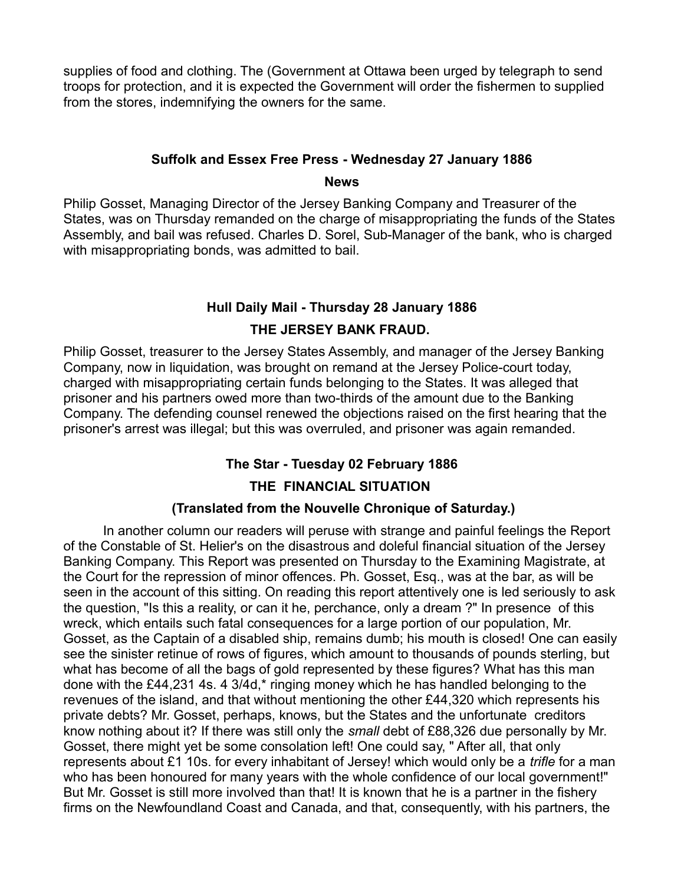supplies of food and clothing. The (Government at Ottawa been urged by telegraph to send troops for protection, and it is expected the Government will order the fishermen to supplied from the stores, indemnifying the owners for the same.

#### **Suffolk and Essex Free Press - Wednesday 27 January 1886**

#### **News**

Philip Gosset, Managing Director of the Jersey Banking Company and Treasurer of the States, was on Thursday remanded on the charge of misappropriating the funds of the States Assembly, and bail was refused. Charles D. Sorel, Sub-Manager of the bank, who is charged with misappropriating bonds, was admitted to bail.

## **Hull Daily Mail - Thursday 28 January 1886 THE JERSEY BANK FRAUD.**

Philip Gosset, treasurer to the Jersey States Assembly, and manager of the Jersey Banking Company, now in liquidation, was brought on remand at the Jersey Police-court today, charged with misappropriating certain funds belonging to the States. It was alleged that prisoner and his partners owed more than two-thirds of the amount due to the Banking Company. The defending counsel renewed the objections raised on the first hearing that the prisoner's arrest was illegal; but this was overruled, and prisoner was again remanded.

## **The Star - Tuesday 02 February 1886**

#### **THE FINANCIAL SITUATION**

#### **(Translated from the Nouvelle Chronique of Saturday.)**

In another column our readers will peruse with strange and painful feelings the Report of the Constable of St. Helier's on the disastrous and doleful financial situation of the Jersey Banking Company. This Report was presented on Thursday to the Examining Magistrate, at the Court for the repression of minor offences. Ph. Gosset, Esq., was at the bar, as will be seen in the account of this sitting. On reading this report attentively one is led seriously to ask the question, "Is this a reality, or can it he, perchance, only a dream ?" In presence of this wreck, which entails such fatal consequences for a large portion of our population, Mr. Gosset, as the Captain of a disabled ship, remains dumb; his mouth is closed! One can easily see the sinister retinue of rows of figures, which amount to thousands of pounds sterling, but what has become of all the bags of gold represented by these figures? What has this man done with the £44,231 4s. 4 3/4d,\* ringing money which he has handled belonging to the revenues of the island, and that without mentioning the other £44,320 which represents his private debts? Mr. Gosset, perhaps, knows, but the States and the unfortunate creditors know nothing about it? If there was still only the *small* debt of £88,326 due personally by Mr. Gosset, there might yet be some consolation left! One could say, " After all, that only represents about £1 10s. for every inhabitant of Jersey! which would only be a *trifle* for a man who has been honoured for many years with the whole confidence of our local government!" But Mr. Gosset is still more involved than that! It is known that he is a partner in the fishery firms on the Newfoundland Coast and Canada, and that, consequently, with his partners, the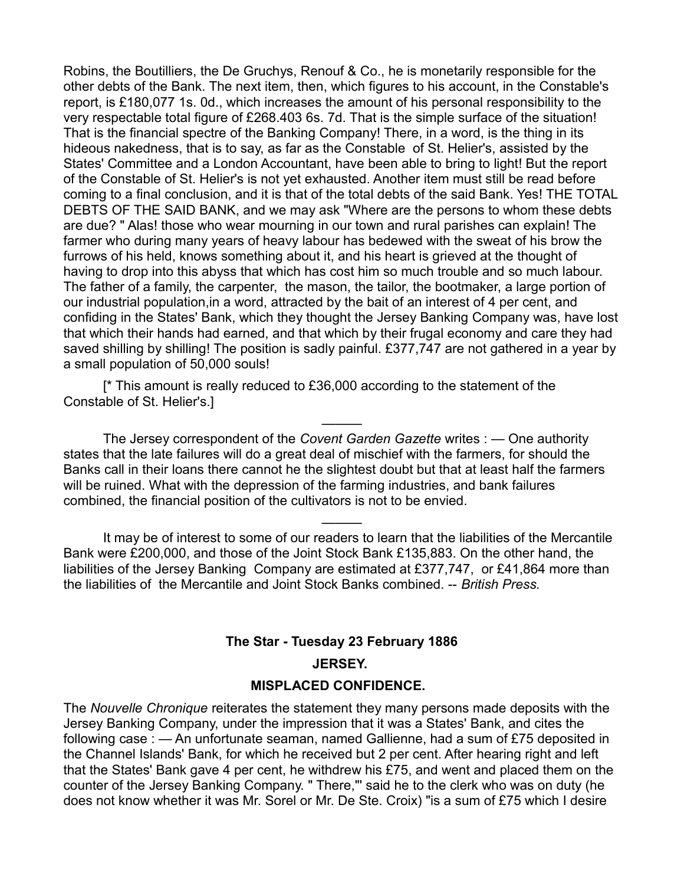Robins, the Boutilliers, the De Gruchys, Renouf & Co., he is monetarily responsible for the other debts of the Bank. The next item, then, which figures to his account, in the Constable's report, is £180,077 1s. 0d., which increases the amount of his personal responsibility to the very respectable total figure of £268.403 6s. 7d. That is the simple surface of the situation! That is the financial spectre of the Banking Company! There, in a word, is the thing in its hideous nakedness, that is to say, as far as the Constable of St. Helier's, assisted by the States' Committee and a London Accountant, have been able to bring to light! But the report of the Constable of St. Helier's is not yet exhausted. Another item must still be read before coming to a final conclusion, and it is that of the total debts of the said Bank. Yes! THE TOTAL DEBTS OF THE SAID BANK, and we may ask "Where are the persons to whom these debts are due? " Alas! those who wear mourning in our town and rural parishes can explain! The farmer who during many years of heavy labour has bedewed with the sweat of his brow the furrows of his held, knows something about it, and his heart is grieved at the thought of having to drop into this abyss that which has cost him so much trouble and so much labour. The father of a family, the carpenter, the mason, the tailor, the bootmaker, a large portion of our industrial population,in a word, attracted by the bait of an interest of 4 per cent, and confiding in the States' Bank, which they thought the Jersey Banking Company was, have lost that which their hands had earned, and that which by their frugal economy and care they had saved shilling by shilling! The position is sadly painful. £377,747 are not gathered in a year by a small population of 50,000 souls!

[\* This amount is really reduced to £36,000 according to the statement of the Constable of St. Helier's.]

The Jersey correspondent of the *Covent Garden Gazette* writes : — One authority states that the late failures will do a great deal of mischief with the farmers, for should the Banks call in their loans there cannot he the slightest doubt but that at least half the farmers will be ruined. What with the depression of the farming industries, and bank failures combined, the financial position of the cultivators is not to be envied.

———

It may be of interest to some of our readers to learn that the liabilities of the Mercantile Bank were £200,000, and those of the Joint Stock Bank £135,883. On the other hand, the liabilities of the Jersey Banking Company are estimated at £377,747, or £41,864 more than the liabilities of the Mercantile and Joint Stock Banks combined. -- *British Press.*

———

# **The Star - Tuesday 23 February 1886 JERSEY.**

#### **MISPLACED CONFIDENCE.**

The *Nouvelle Chronique* reiterates the statement they many persons made deposits with the Jersey Banking Company, under the impression that it was a States' Bank, and cites the following case : — An unfortunate seaman, named Gallienne, had a sum of £75 deposited in the Channel Islands' Bank, for which he received but 2 per cent. After hearing right and left that the States' Bank gave 4 per cent, he withdrew his £75, and went and placed them on the counter of the Jersey Banking Company. " There,"' said he to the clerk who was on duty (he does not know whether it was Mr. Sorel or Mr. De Ste. Croix) "is a sum of £75 which I desire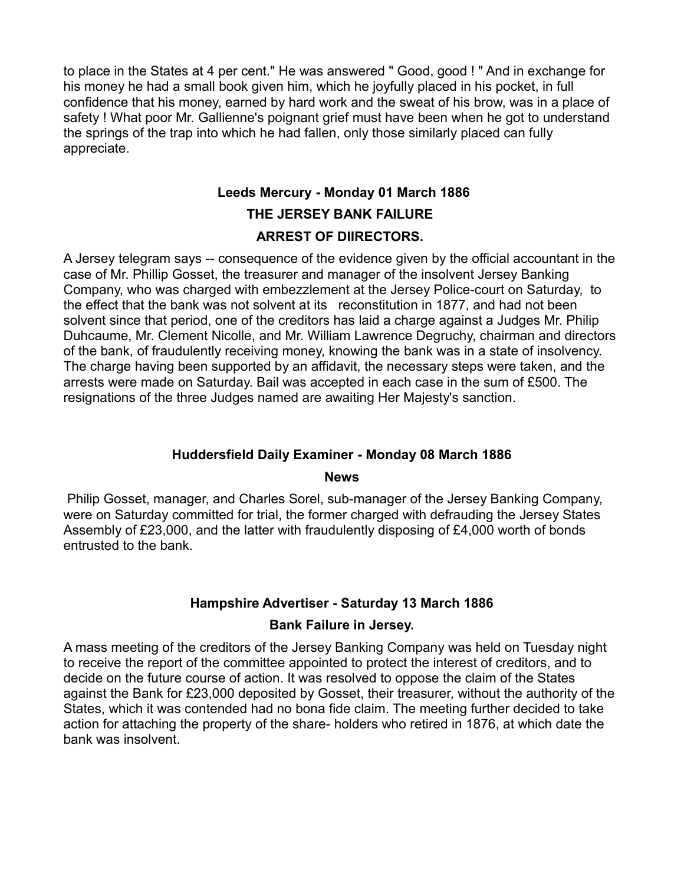to place in the States at 4 per cent." He was answered " Good, good ! " And in exchange for his money he had a small book given him, which he joyfully placed in his pocket, in full confidence that his money, earned by hard work and the sweat of his brow, was in a place of safety ! What poor Mr. Gallienne's poignant grief must have been when he got to understand the springs of the trap into which he had fallen, only those similarly placed can fully appreciate.

# **Leeds Mercury - Monday 01 March 1886 THE JERSEY BANK FAILURE ARREST OF DIIRECTORS.**

A Jersey telegram says -- consequence of the evidence given by the official accountant in the case of Mr. Phillip Gosset, the treasurer and manager of the insolvent Jersey Banking Company, who was charged with embezzlement at the Jersey Police-court on Saturday, to the effect that the bank was not solvent at its reconstitution in 1877, and had not been solvent since that period, one of the creditors has laid a charge against a Judges Mr. Philip Duhcaume, Mr. Clement Nicolle, and Mr. William Lawrence Degruchy, chairman and directors of the bank, of fraudulently receiving money, knowing the bank was in a state of insolvency. The charge having been supported by an affidavit, the necessary steps were taken, and the arrests were made on Saturday. Bail was accepted in each case in the sum of £500. The resignations of the three Judges named are awaiting Her Majesty's sanction.

#### **Huddersfield Daily Examiner - Monday 08 March 1886**

#### **News**

 Philip Gosset, manager, and Charles Sorel, sub-manager of the Jersey Banking Company, were on Saturday committed for trial, the former charged with defrauding the Jersey States Assembly of £23,000, and the latter with fraudulently disposing of £4,000 worth of bonds entrusted to the bank.

#### **Hampshire Advertiser - Saturday 13 March 1886**

#### **Bank Failure in Jersey.**

A mass meeting of the creditors of the Jersey Banking Company was held on Tuesday night to receive the report of the committee appointed to protect the interest of creditors, and to decide on the future course of action. It was resolved to oppose the claim of the States against the Bank for £23,000 deposited by Gosset, their treasurer, without the authority of the States, which it was contended had no bona fide claim. The meeting further decided to take action for attaching the property of the share- holders who retired in 1876, at which date the bank was insolvent.